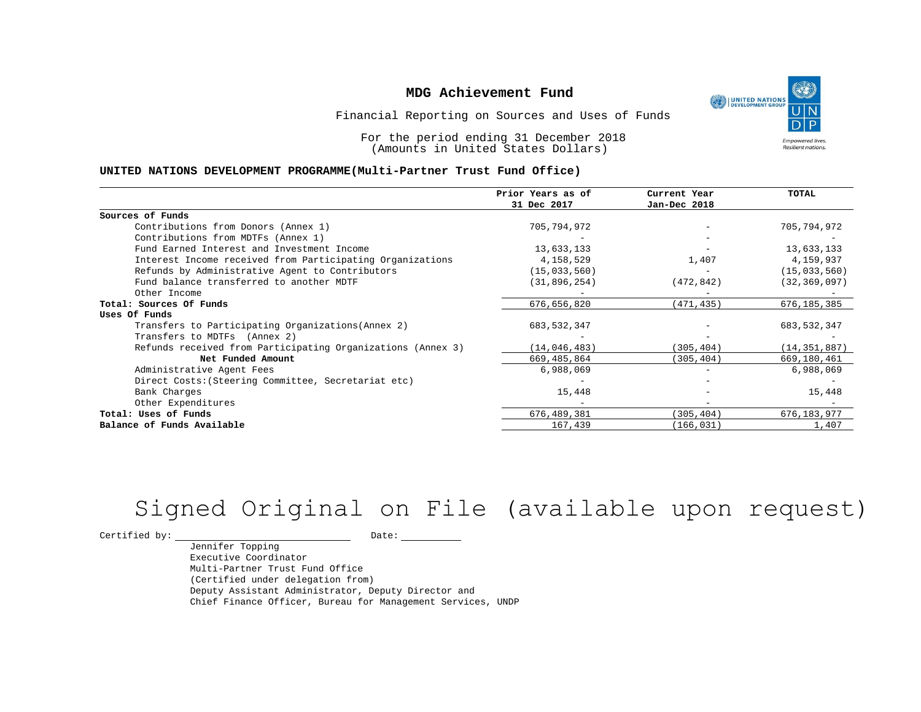UNITED NATIONS **Empowered lives** Resilient nations.

Financial Reporting on Sources and Uses of Funds

For the period ending 31 December 2018 (Amounts in United States Dollars)

#### **UNITED NATIONS DEVELOPMENT PROGRAMME(Multi-Partner Trust Fund Office)**

|                                                             | Prior Years as of | Current Year | <b>TOTAL</b>   |
|-------------------------------------------------------------|-------------------|--------------|----------------|
|                                                             | 31 Dec 2017       | Jan-Dec 2018 |                |
| Sources of Funds                                            |                   |              |                |
| Contributions from Donors (Annex 1)                         | 705,794,972       |              | 705,794,972    |
| Contributions from MDTFs (Annex 1)                          |                   |              |                |
| Fund Earned Interest and Investment Income                  | 13,633,133        |              | 13,633,133     |
| Interest Income received from Participating Organizations   | 4,158,529         | 1,407        | 4,159,937      |
| Refunds by Administrative Agent to Contributors             | (15, 033, 560)    |              | (15, 033, 560) |
| Fund balance transferred to another MDTF                    | (31, 896, 254)    | (472, 842)   | (32, 369, 097) |
| Other Income                                                |                   |              |                |
| Total: Sources Of Funds                                     | 676,656,820       | (471,435)    | 676, 185, 385  |
| Uses Of Funds                                               |                   |              |                |
| Transfers to Participating Organizations (Annex 2)          | 683, 532, 347     |              | 683, 532, 347  |
| Transfers to MDTFs (Annex 2)                                |                   |              |                |
| Refunds received from Participating Organizations (Annex 3) | (14, 046, 483)    | (305,404)    | (14, 351, 887) |
| Net Funded Amount                                           | 669,485,864       | (305, 404)   | 669,180,461    |
| Administrative Agent Fees                                   | 6,988,069         |              | 6,988,069      |
| Direct Costs: (Steering Committee, Secretariat etc)         |                   |              |                |
| Bank Charges                                                | 15,448            |              | 15,448         |
| Other Expenditures                                          |                   |              |                |
| Total: Uses of Funds                                        | 676, 489, 381     | (305,404)    | 676,183,977    |
| Balance of Funds Available                                  | 167,439           | (166, 031)   | 1,407          |

# Signed Original on File (available upon request)

 $\begin{tabular}{c} \multicolumn{2}{c}{{\texttt{Certified by:}}}} \quad \quad \texttt{Date:} \end{tabular}$ 

Jennifer Topping Executive Coordinator Multi-Partner Trust Fund Office (Certified under delegation from) Deputy Assistant Administrator, Deputy Director and Chief Finance Officer, Bureau for Management Services, UNDP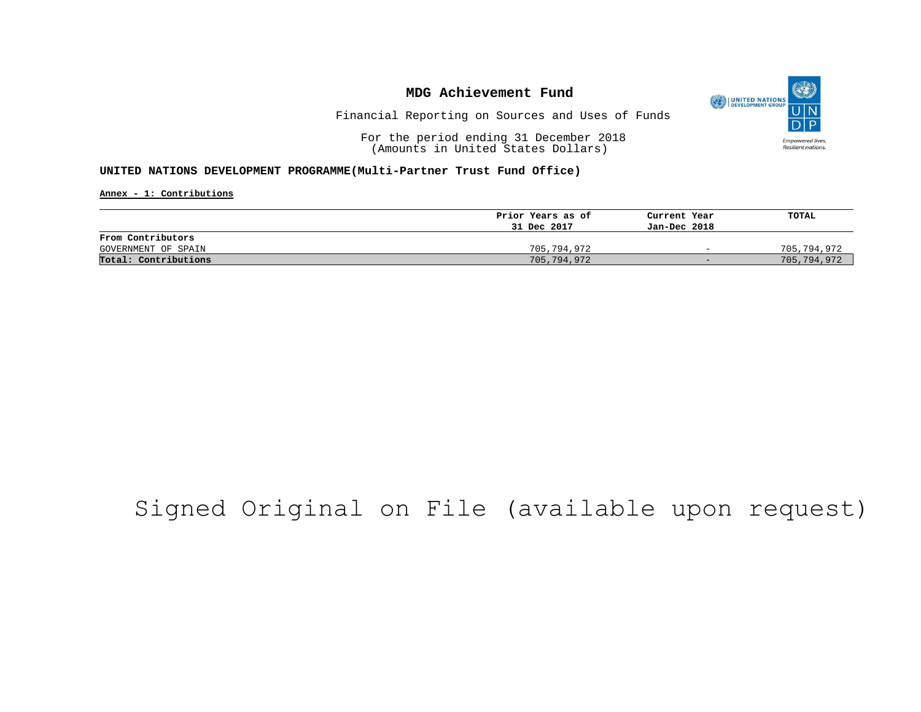

Financial Reporting on Sources and Uses of Funds

For the period ending 31 December 2018 (Amounts in United States Dollars)

#### **UNITED NATIONS DEVELOPMENT PROGRAMME(Multi-Partner Trust Fund Office)**

**Annex - 1: Contributions**

|                      | Prior Years as of | Current Year             | TOTAL       |
|----------------------|-------------------|--------------------------|-------------|
|                      | 31 Dec 2017       | Jan-Dec 2018             |             |
| From Contributors    |                   |                          |             |
| GOVERNMENT OF SPAIN  | 705,794,972       | $\overline{\phantom{0}}$ | 705,794,972 |
| Total: Contributions | 705,794,972       | $-$                      | 705,794,972 |

## Signed Original on File (available upon request)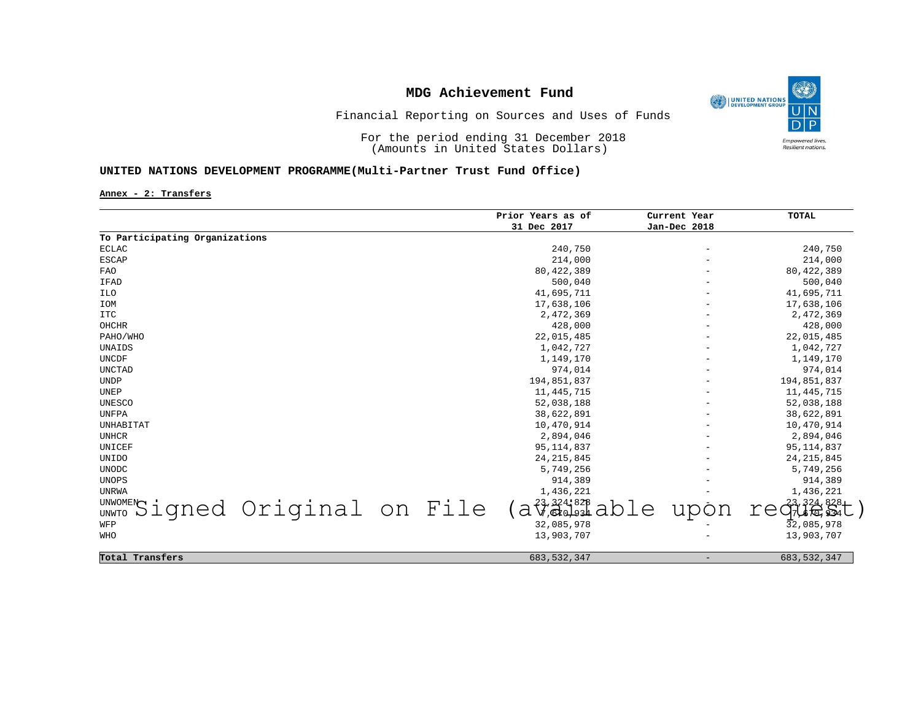

## Financial Reporting on Sources and Uses of Funds

For the period ending 31 December 2018 (Amounts in United States Dollars)

#### **UNITED NATIONS DEVELOPMENT PROGRAMME(Multi-Partner Trust Fund Office)**

**Annex - 2: Transfers**

|                                |                                |  | Prior Years as of | Current Year             | <b>TOTAL</b>  |
|--------------------------------|--------------------------------|--|-------------------|--------------------------|---------------|
|                                |                                |  | 31 Dec 2017       | Jan-Dec 2018             |               |
| To Participating Organizations |                                |  |                   |                          |               |
| <b>ECLAC</b>                   |                                |  | 240,750           | $\overline{\phantom{m}}$ | 240,750       |
| ESCAP                          |                                |  | 214,000           |                          | 214,000       |
| <b>FAO</b>                     |                                |  | 80, 422, 389      |                          | 80, 422, 389  |
| IFAD                           |                                |  | 500,040           |                          | 500,040       |
| ILO                            |                                |  | 41,695,711        |                          | 41,695,711    |
| IOM                            |                                |  | 17,638,106        |                          | 17,638,106    |
| <b>ITC</b>                     |                                |  | 2,472,369         |                          | 2,472,369     |
| OHCHR                          |                                |  | 428,000           |                          | 428,000       |
| PAHO/WHO                       |                                |  | 22,015,485        |                          | 22,015,485    |
| UNAIDS                         |                                |  | 1,042,727         |                          | 1,042,727     |
| UNCDF                          |                                |  | 1,149,170         |                          | 1,149,170     |
| UNCTAD                         |                                |  | 974,014           |                          | 974,014       |
| <b>UNDP</b>                    |                                |  | 194,851,837       |                          | 194,851,837   |
| UNEP                           |                                |  | 11, 445, 715      |                          | 11, 445, 715  |
| UNESCO                         |                                |  | 52,038,188        |                          | 52,038,188    |
| UNFPA                          |                                |  | 38,622,891        |                          | 38,622,891    |
| UNHABITAT                      |                                |  | 10,470,914        |                          | 10,470,914    |
| UNHCR                          |                                |  | 2,894,046         |                          | 2,894,046     |
| UNICEF                         |                                |  | 95, 114, 837      |                          | 95, 114, 837  |
| <b>UNIDO</b>                   |                                |  | 24, 215, 845      |                          | 24, 215, 845  |
| <b>UNODC</b>                   |                                |  | 5,749,256         |                          | 5,749,256     |
| UNOPS                          |                                |  | 914,389           |                          | 914,389       |
| UNRWA                          |                                |  | 1,436,221         |                          | 1,436,221     |
|                                |                                |  | $3.324 - 82B$     |                          | Gue S1        |
|                                | UNWOMENSigned Original on File |  | a<br>.pTe         | upon                     | re            |
| WFP                            |                                |  | 32,085,978        |                          | 32,085,978    |
| WHO                            |                                |  | 13,903,707        |                          | 13,903,707    |
|                                |                                |  |                   |                          |               |
| Total Transfers                |                                |  | 683, 532, 347     | $\qquad \qquad -$        | 683, 532, 347 |